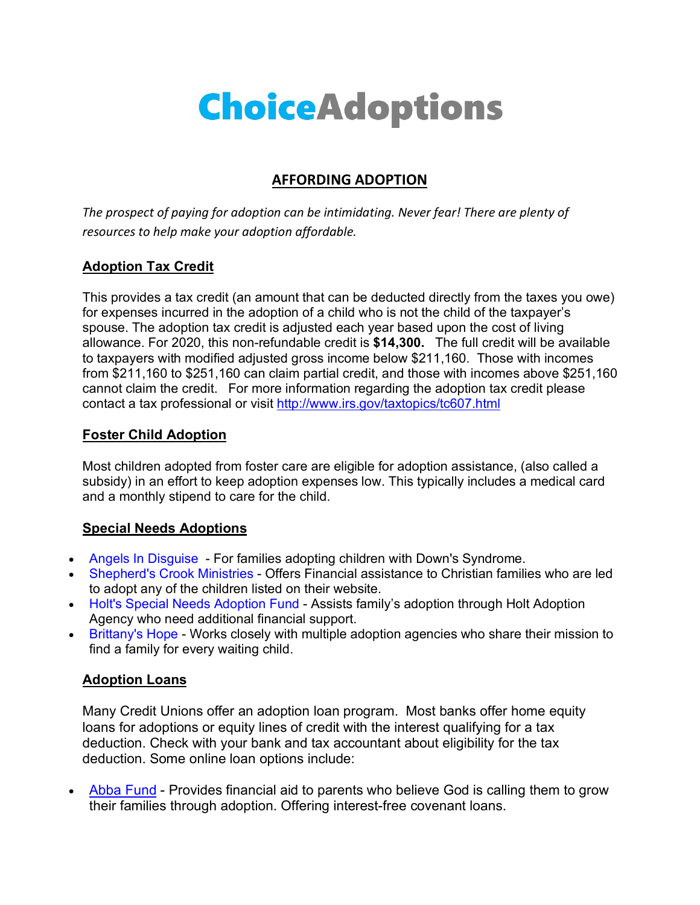# **ChoiceAdoptions**

## **AFFORDING ADOPTION**

*The prospect of paying for adoption can be intimidating. Never fear! There are plenty of resources to help make your adoption affordable.* 

### **Adoption Tax Credit**

This provides a tax credit (an amount that can be deducted directly from the taxes you owe) for expenses incurred in the adoption of a child who is not the child of the taxpayer's spouse. The adoption tax credit is adjusted each year based upon the cost of living allowance. For 2020, this non-refundable credit is **\$14,300.** The full credit will be available to taxpayers with modified adjusted gross income below \$211,160. Those with incomes from \$211,160 to \$251,160 can claim partial credit, and those with incomes above \$251,160 cannot claim the credit. For more information regarding the adoption tax credit please contact a tax professional or visit http://www.irs.gov/taxtopics/tc607.html

#### **Foster Child Adoption**

Most children adopted from foster care are eligible for adoption assistance, (also called a subsidy) in an effort to keep adoption expenses low. This typically includes a medical card and a monthly stipend to care for the child.

#### **Special Needs Adoptions**

- Angels In Disguise For families adopting children with Down's Syndrome.
- Shepherd's Crook Ministries Offers Financial assistance to Christian families who are led to adopt any of the children listed on their website.
- Holt's Special Needs Adoption Fund Assists family's adoption through Holt Adoption Agency who need additional financial support.
- Brittany's Hope Works closely with multiple adoption agencies who share their mission to find a family for every waiting child.

#### **Adoption Loans**

Many Credit Unions offer an adoption loan program. Most banks offer home equity loans for adoptions or equity lines of credit with the interest qualifying for a tax deduction. Check with your bank and tax accountant about eligibility for the tax deduction. Some online loan options include:

• Abba Fund - Provides financial aid to parents who believe God is calling them to grow their families through adoption. Offering interest-free covenant loans.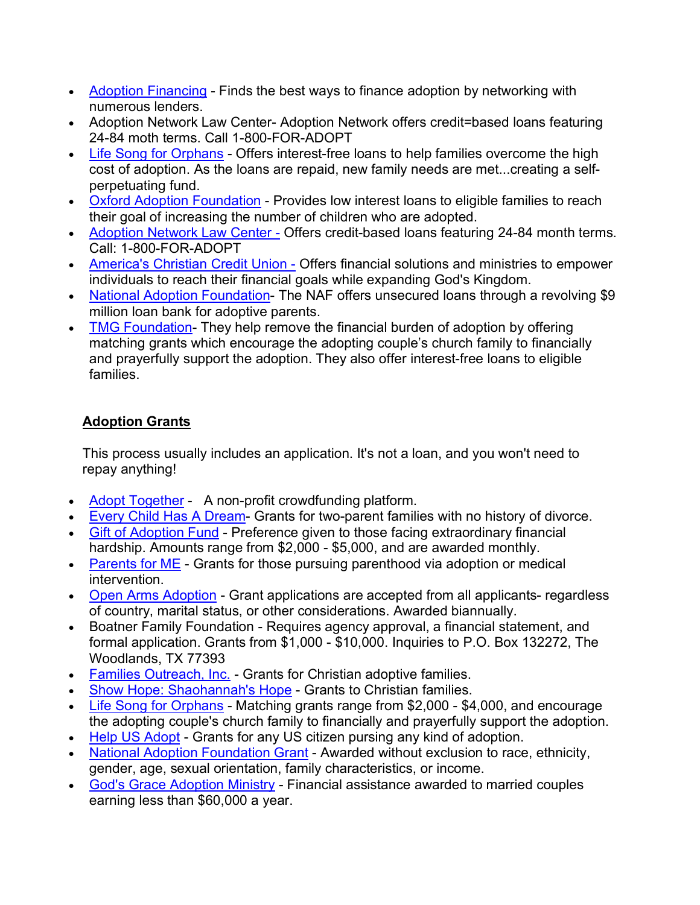- Adoption Financing Finds the best ways to finance adoption by networking with numerous lenders.
- Adoption Network Law Center-Adoption Network offers credit=based loans featuring 24-84 moth terms. Call 1-800-FOR-ADOPT
- Life Song for Orphans Offers interest-free loans to help families overcome the high cost of adoption. As the loans are repaid, new family needs are met...creating a selfperpetuating fund.
- Oxford Adoption Foundation Provides low interest loans to eligible families to reach their goal of increasing the number of children who are adopted.
- Adoption Network Law Center Offers credit-based loans featuring 24-84 month terms. Call: 1-800-FOR-ADOPT
- America's Christian Credit Union Offers financial solutions and ministries to empower individuals to reach their financial goals while expanding God's Kingdom.
- National Adoption Foundation- The NAF offers unsecured loans through a revolving \$9 million loan bank for adoptive parents.
- TMG Foundation-They help remove the financial burden of adoption by offering matching grants which encourage the adopting couple's church family to financially and prayerfully support the adoption. They also offer interest-free loans to eligible families.

# **Adoption Grants**

This process usually includes an application. It's not a loan, and you won't need to repay anything!

- Adopt Together A non-profit crowdfunding platform.
- Every Child Has A Dream- Grants for two-parent families with no history of divorce.
- Gift of Adoption Fund Preference given to those facing extraordinary financial hardship. Amounts range from \$2,000 - \$5,000, and are awarded monthly.
- Parents for ME Grants for those pursuing parenthood via adoption or medical intervention.
- Open Arms Adoption Grant applications are accepted from all applicants- regardless of country, marital status, or other considerations. Awarded biannually.
- Boatner Family Foundation Requires agency approval, a financial statement, and formal application. Grants from \$1,000 - \$10,000. Inquiries to P.O. Box 132272, The Woodlands, TX 77393
- Families Outreach, Inc. Grants for Christian adoptive families.
- Show Hope: Shaohannah's Hope Grants to Christian families.
- Life Song for Orphans Matching grants range from \$2,000 \$4,000, and encourage the adopting couple's church family to financially and prayerfully support the adoption.
- Help US Adopt Grants for any US citizen pursing any kind of adoption.
- National Adoption Foundation Grant Awarded without exclusion to race, ethnicity, gender, age, sexual orientation, family characteristics, or income.
- God's Grace Adoption Ministry Financial assistance awarded to married couples earning less than \$60,000 a year.